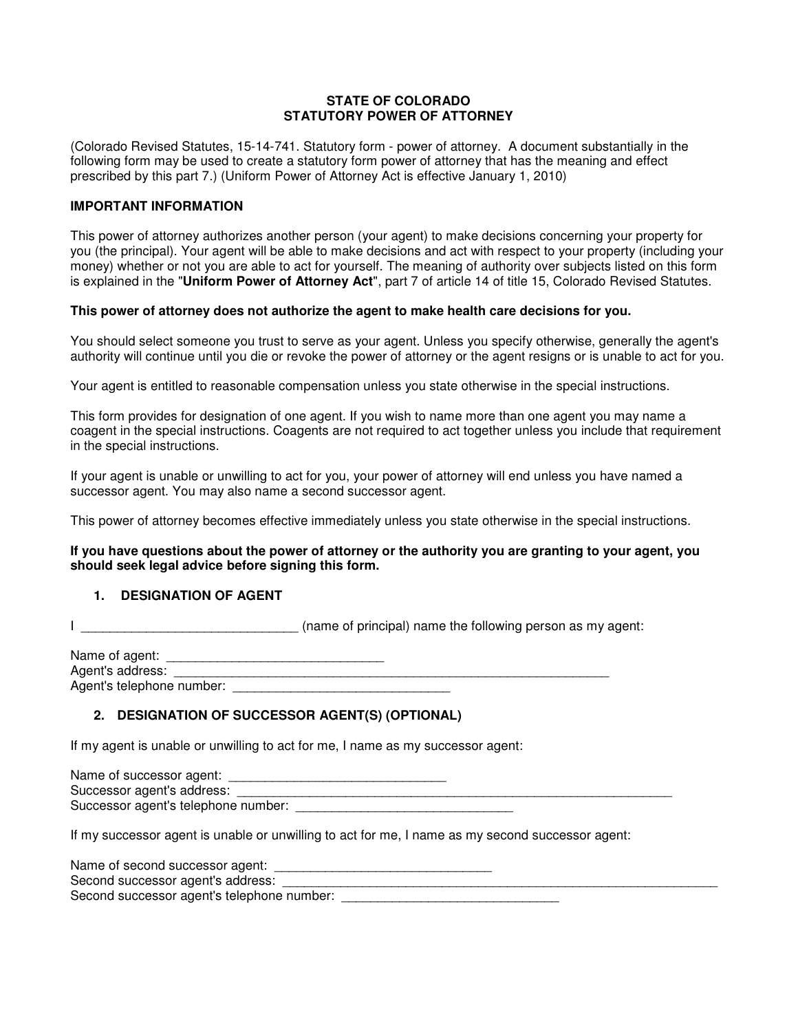## **STATE OF COLORADO STATUTORY POWER OF ATTORNEY**

(Colorado Revised Statutes, 15-14-741. Statutory form - power of attorney. A document substantially in the following form may be used to create a statutory form power of attorney that has the meaning and effect prescribed by this part 7.) (Uniform Power of Attorney Act is effective January 1, 2010)

### **IMPORTANT INFORMATION**

This power of attorney authorizes another person (your agent) to make decisions concerning your property for you (the principal). Your agent will be able to make decisions and act with respect to your property (including your money) whether or not you are able to act for yourself. The meaning of authority over subjects listed on this form is explained in the "**Uniform Power of Attorney Act**", part 7 of article 14 of title 15, Colorado Revised Statutes.

## **This power of attorney does not authorize the agent to make health care decisions for you.**

You should select someone you trust to serve as your agent. Unless you specify otherwise, generally the agent's authority will continue until you die or revoke the power of attorney or the agent resigns or is unable to act for you.

Your agent is entitled to reasonable compensation unless you state otherwise in the special instructions.

This form provides for designation of one agent. If you wish to name more than one agent you may name a coagent in the special instructions. Coagents are not required to act together unless you include that requirement in the special instructions.

If your agent is unable or unwilling to act for you, your power of attorney will end unless you have named a successor agent. You may also name a second successor agent.

This power of attorney becomes effective immediately unless you state otherwise in the special instructions.

## **If you have questions about the power of attorney or the authority you are granting to your agent, you should seek legal advice before signing this form.**

# **1. DESIGNATION OF AGENT**

I \_\_\_\_\_\_\_\_\_\_\_\_\_\_\_\_\_\_\_\_\_\_\_\_\_\_\_\_\_\_ (name of principal) name the following person as my agent:

Name of agent: \_\_\_\_\_\_\_\_\_\_\_\_\_\_\_\_\_\_\_\_\_\_\_\_\_\_\_\_\_\_ Agent's address: \_\_\_\_\_\_\_\_\_\_\_\_\_\_\_\_\_\_\_\_\_\_\_\_\_\_\_\_\_\_\_\_\_\_\_\_\_\_\_\_\_\_\_\_\_\_\_\_\_\_\_\_\_\_\_\_\_\_\_\_ Agent's telephone number: \_\_\_\_\_\_\_\_\_\_\_\_\_\_\_\_\_\_\_\_\_\_\_\_\_\_\_\_\_\_

# **2. DESIGNATION OF SUCCESSOR AGENT(S) (OPTIONAL)**

If my agent is unable or unwilling to act for me, I name as my successor agent:

Name of successor agent:  $\blacksquare$ Successor agent's address: Successor agent's telephone number:

If my successor agent is unable or unwilling to act for me, I name as my second successor agent:

Name of second successor agent:

Second successor agent's address: \_\_\_\_\_\_\_\_\_\_\_\_\_\_\_\_\_\_\_\_\_\_\_\_\_\_\_\_\_\_\_\_\_\_\_\_\_\_\_\_\_\_\_\_\_\_\_\_\_\_\_\_\_\_\_\_\_\_\_\_

Second successor agent's telephone number: \_\_\_\_\_\_\_\_\_\_\_\_\_\_\_\_\_\_\_\_\_\_\_\_\_\_\_\_\_\_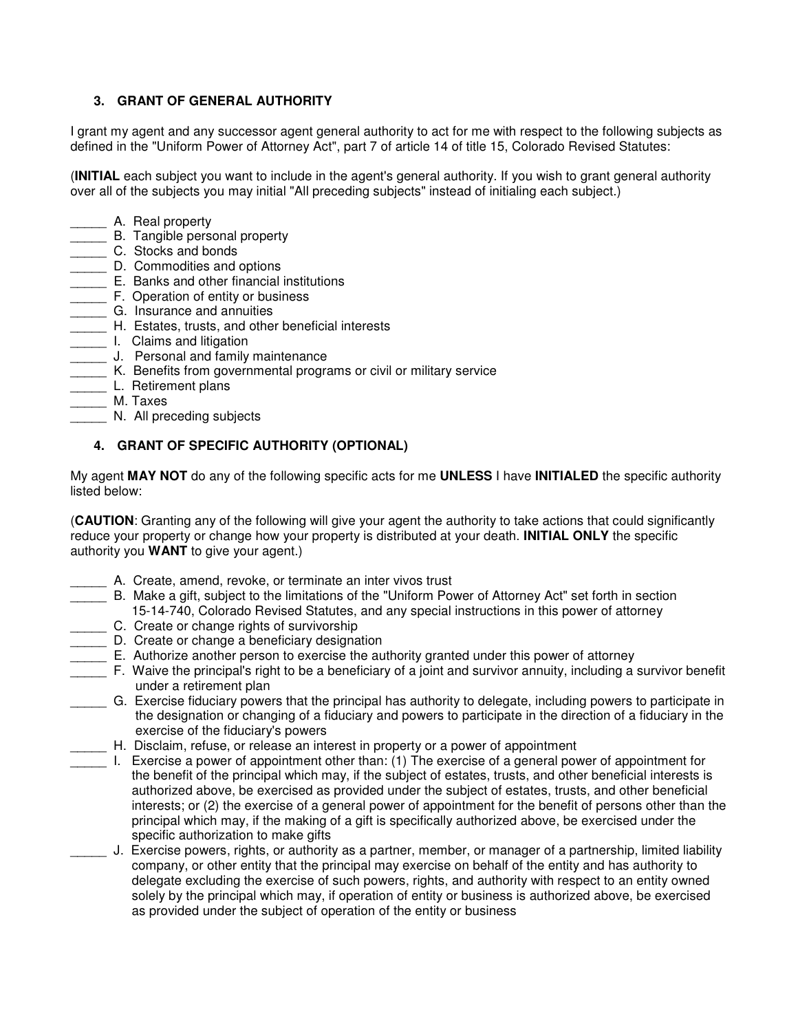# **3. GRANT OF GENERAL AUTHORITY**

I grant my agent and any successor agent general authority to act for me with respect to the following subjects as defined in the "Uniform Power of Attorney Act", part 7 of article 14 of title 15, Colorado Revised Statutes:

(**INITIAL** each subject you want to include in the agent's general authority. If you wish to grant general authority over all of the subjects you may initial "All preceding subjects" instead of initialing each subject.)

- \_\_\_\_ A. Real property
- **EXECUTE:** B. Tangible personal property
- C. Stocks and bonds
- D. Commodities and options
- \_\_\_\_\_ E. Banks and other financial institutions
- **E.** Operation of entity or business
- **Late Co.** Insurance and annuities
- \_\_\_\_\_ H. Estates, trusts, and other beneficial interests
- **Lacks** I. Claims and litigation
- \_\_\_\_\_ J. Personal and family maintenance
- K. Benefits from governmental programs or civil or military service
- L. Retirement plans
- \_\_\_\_\_ M. Taxes
- N. All preceding subjects

# **4. GRANT OF SPECIFIC AUTHORITY (OPTIONAL)**

My agent **MAY NOT** do any of the following specific acts for me **UNLESS** I have **INITIALED** the specific authority listed below:

(**CAUTION**: Granting any of the following will give your agent the authority to take actions that could significantly reduce your property or change how your property is distributed at your death. **INITIAL ONLY** the specific authority you **WANT** to give your agent.)

- \_\_\_\_\_ A. Create, amend, revoke, or terminate an inter vivos trust
- \_\_\_\_\_ B. Make a gift, subject to the limitations of the "Uniform Power of Attorney Act" set forth in section 15-14-740, Colorado Revised Statutes, and any special instructions in this power of attorney
- \_\_\_\_\_ C. Create or change rights of survivorship
- D. Create or change a beneficiary designation
- \_\_\_\_\_ E. Authorize another person to exercise the authority granted under this power of attorney
- \_\_\_\_\_ F. Waive the principal's right to be a beneficiary of a joint and survivor annuity, including a survivor benefit under a retirement plan
- \_\_\_\_\_ G. Exercise fiduciary powers that the principal has authority to delegate, including powers to participate in the designation or changing of a fiduciary and powers to participate in the direction of a fiduciary in the exercise of the fiduciary's powers
- \_\_\_\_\_ H. Disclaim, refuse, or release an interest in property or a power of appointment
- \_\_\_\_\_ I. Exercise a power of appointment other than: (1) The exercise of a general power of appointment for the benefit of the principal which may, if the subject of estates, trusts, and other beneficial interests is authorized above, be exercised as provided under the subject of estates, trusts, and other beneficial interests; or (2) the exercise of a general power of appointment for the benefit of persons other than the principal which may, if the making of a gift is specifically authorized above, be exercised under the specific authorization to make gifts
	- \_\_\_\_\_ J. Exercise powers, rights, or authority as a partner, member, or manager of a partnership, limited liability company, or other entity that the principal may exercise on behalf of the entity and has authority to delegate excluding the exercise of such powers, rights, and authority with respect to an entity owned solely by the principal which may, if operation of entity or business is authorized above, be exercised as provided under the subject of operation of the entity or business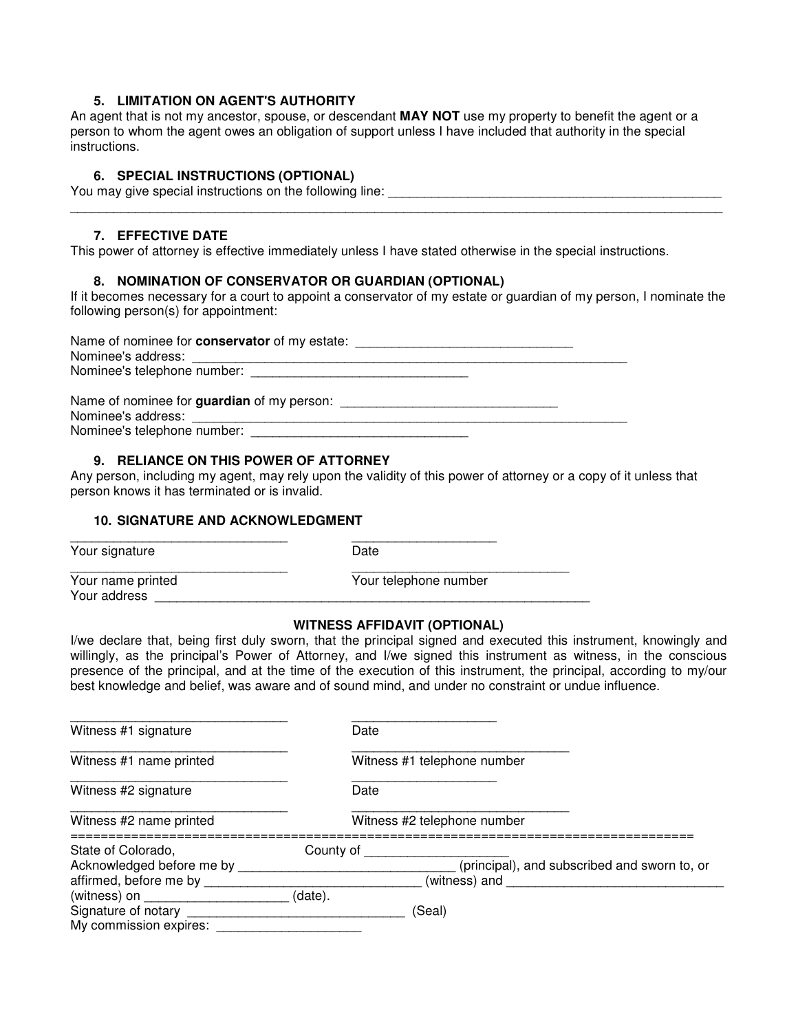## **5. LIMITATION ON AGENT'S AUTHORITY**

An agent that is not my ancestor, spouse, or descendant **MAY NOT** use my property to benefit the agent or a person to whom the agent owes an obligation of support unless I have included that authority in the special instructions.

## **6. SPECIAL INSTRUCTIONS (OPTIONAL)**

You may give special instructions on the following line:

## **7. EFFECTIVE DATE**

This power of attorney is effective immediately unless I have stated otherwise in the special instructions.

#### **8. NOMINATION OF CONSERVATOR OR GUARDIAN (OPTIONAL)**

If it becomes necessary for a court to appoint a conservator of my estate or guardian of my person, I nominate the following person(s) for appointment:

\_\_\_\_\_\_\_\_\_\_\_\_\_\_\_\_\_\_\_\_\_\_\_\_\_\_\_\_\_\_\_\_\_\_\_\_\_\_\_\_\_\_\_\_\_\_\_\_\_\_\_\_\_\_\_\_\_\_\_\_\_\_\_\_\_\_\_\_\_\_\_\_\_\_\_\_\_\_\_\_\_\_\_\_\_\_\_\_\_\_

| Name of nominee for <b>conservator</b> of my estate:<br>Nominee's address: |  |
|----------------------------------------------------------------------------|--|
|                                                                            |  |
| Name of nominee for guardian of my person:<br>Nominee's address:           |  |
| Nominee's telephone number:                                                |  |

#### **9. RELIANCE ON THIS POWER OF ATTORNEY**

Any person, including my agent, may rely upon the validity of this power of attorney or a copy of it unless that person knows it has terminated or is invalid.

#### **10. SIGNATURE AND ACKNOWLEDGMENT**

Your signature Date

\_\_\_\_\_\_\_\_\_\_\_\_\_\_\_\_\_\_\_\_\_\_\_\_\_\_\_\_\_\_ \_\_\_\_\_\_\_\_\_\_\_\_\_\_\_\_\_\_\_\_

Your name printed Your telephone number Your address

\_\_\_\_\_\_\_\_\_\_\_\_\_\_\_\_\_\_\_\_\_\_\_\_\_\_\_\_\_\_ \_\_\_\_\_\_\_\_\_\_\_\_\_\_\_\_\_\_\_\_\_\_\_\_\_\_\_\_\_\_

#### **WITNESS AFFIDAVIT (OPTIONAL)**

I/we declare that, being first duly sworn, that the principal signed and executed this instrument, knowingly and willingly, as the principal's Power of Attorney, and I/we signed this instrument as witness, in the conscious presence of the principal, and at the time of the execution of this instrument, the principal, according to my/our best knowledge and belief, was aware and of sound mind, and under no constraint or undue influence.

| Witness #1 signature                                                           |           | Date                                                            |  |
|--------------------------------------------------------------------------------|-----------|-----------------------------------------------------------------|--|
| Witness #1 name printed                                                        |           | Witness #1 telephone number                                     |  |
| Witness #2 signature                                                           |           | Date                                                            |  |
| Witness #2 name printed                                                        |           | Witness #2 telephone number                                     |  |
| State of Colorado,<br>Acknowledged before me by<br>affirmed, before me by ____ | County of | (principal), and subscribed and sworn to, or<br>(witness) and _ |  |
| (witness) on $\frac{1}{2}$<br>Signature of notary<br>My commission expires:    | (date).   | (Seal)                                                          |  |